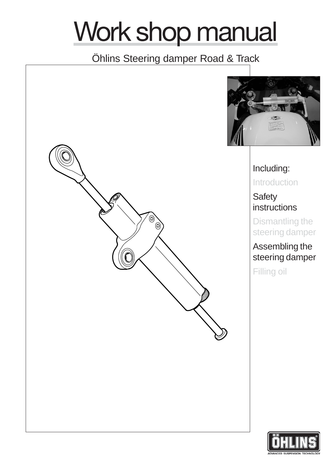# Work shop manual

## Öhlins Steering damper Road & Track



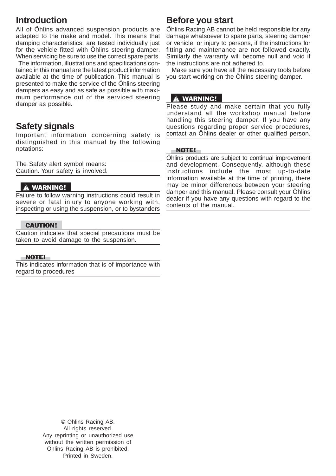## **Introduction**

All of Öhlins advanced suspension products are adapted to the make and model. This means that damping characteristics, are tested individually just for the vehicle fitted with Öhlins steering damper. When servicing be sure to use the correct spare parts.

 The information, illustrations and specifications contained in this manual are the latest product information available at the time of publication. This manual is presented to make the service of the Öhlins steering dampers as easy and as safe as possible with maximum performance out of the serviced steering damper as possible.

## **Safety signals**

Important information concerning safety is distinguished in this manual by the following notations:

The Safety alert symbol means: Caution. Your safety is involved.

#### **A WARNING!**

Failure to follow warning instructions could result in severe or fatal injury to anyone working with, inspecting or using the suspension, or to bystanders

#### CAUTION!

Caution indicates that special precautions must be taken to avoid damage to the suspension.

#### NOTE!

This indicates information that is of importance with regard to procedures

## **Before you start**

Öhlins Racing AB cannot be held responsible for any damage whatsoever to spare parts, steering damper or vehicle, or injury to persons, if the instructions for fitting and maintenance are not followed exactly. Similarly the warranty will become null and void if the instructions are not adhered to.

 Make sure you have all the necessary tools before you start working on the Öhlins steering damper.

#### **A WARNING!**

Please study and make certain that you fully understand all the workshop manual before handling this steering damper. If you have any questions regarding proper service procedures, contact an Öhlins dealer or other qualified person.

#### NOTE!

Öhlins products are subject to continual improvement and development. Consequently, although these instructions include the most up-to-date information available at the time of printing, there may be minor differences between your steering damper and this manual. Please consult your Öhlins dealer if you have any questions with regard to the contents of the manual.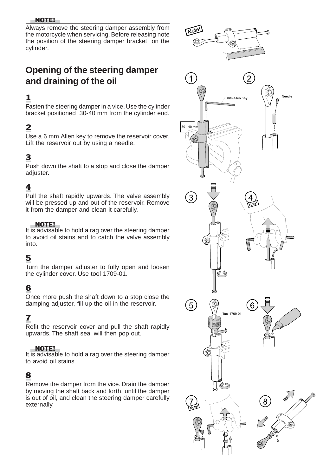#### NOTE!

Always remove the steering damper assembly from the motorcycle when servicing. Before releasing note the position of the steering damper bracket on the cylinder.

## **Opening of the steering damper and draining of the oil**

## 1

Fasten the steering damper in a vice. Use the cylinder bracket positioned 30-40 mm from the cylinder end.

## 2

Use a 6 mm Allen key to remove the reservoir cover. Lift the reservoir out by using a needle.

## 3

Push down the shaft to a stop and close the damper adjuster.

## 4

Pull the shaft rapidly upwards. The valve assembly will be pressed up and out of the reservoir. Remove it from the damper and clean it carefully.

#### NOTE!

It is advisable to hold a rag over the steering damper to avoid oil stains and to catch the valve assembly into.

## 5

Turn the damper adjuster to fully open and loosen the cylinder cover. Use tool 1709-01.

## 6

Once more push the shaft down to a stop close the damping adjuster, fill up the oil in the reservoir.

## 7

Refit the reservoir cover and pull the shaft rapidly upwards. The shaft seal will then pop out.

#### NOTE!

It is advisable to hold a rag over the steering damper to avoid oil stains.

## 8

Remove the damper from the vice. Drain the damper by moving the shaft back and forth, until the damper is out of oil, and clean the steering damper carefully externally.

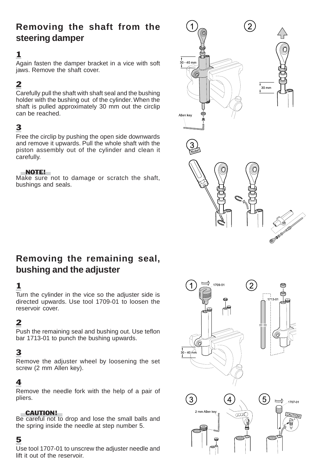## **Removing the shaft from the steering damper**

## 1

Again fasten the damper bracket in a vice with soft jaws. Remove the shaft cover.

## 2

Carefully pull the shaft with shaft seal and the bushing holder with the bushing out of the cylinder. When the shaft is pulled approximately 30 mm out the circlip can be reached.

## 3

Free the circlip by pushing the open side downwards and remove it upwards. Pull the whole shaft with the piston assembly out of the cylinder and clean it carefully.

#### NOTE!

Make sure not to damage or scratch the shaft, bushings and seals.



## **Removing the remaining seal, bushing and the adjuster**

## 1

Turn the cylinder in the vice so the adjuster side is directed upwards. Use tool 1709-01 to loosen the reservoir cover.

## 2

Push the remaining seal and bushing out. Use teflon bar 1713-01 to punch the bushing upwards.

## 3

Remove the adjuster wheel by loosening the set screw (2 mm Allen key).

## 4

Remove the needle fork with the help of a pair of pliers.

#### CAUTION!

Be careful not to drop and lose the small balls and the spring inside the needle at step number 5.

## 5

Use tool 1707-01 to unscrew the adjuster needle and lift it out of the reservoir.

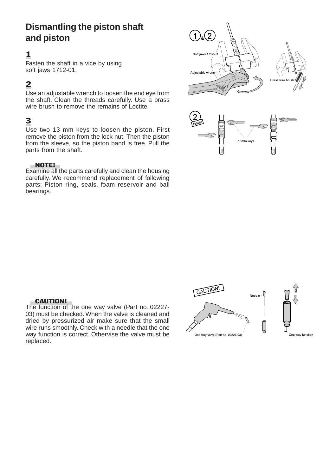## **Dismantling the piston shaft and piston**

## 1

Fasten the shaft in a vice by using soft jaws 1712-01.

## 2

Use an adjustable wrench to loosen the end eye from the shaft. Clean the threads carefully. Use a brass wire brush to remove the remains of Loctite.

## 3

Use two 13 mm keys to loosen the piston. First remove the piston from the lock nut, Then the piston from the sleeve, so the piston band is free. Pull the parts from the shaft.

#### NOTE!

Examine all the parts carefully and clean the housing carefully. We recommend replacement of following parts: Piston ring, seals, foam reservoir and ball bearings.



#### CAUTION!

The function of the one way valve (Part no. 02227- 03) must be checked. When the valve is cleaned and dried by pressurized air make sure that the small wire runs smoothly. Check with a needle that the one way function is correct. Othervise the valve must be replaced.

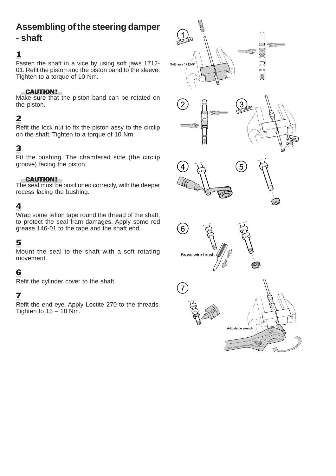# **Assembling of the steering damper**

## **- shaft**

## 1

Fasten the shaft in a vice by using soft jaws 1712- 01. Refit the piston and the piston band to the sleeve. Tighten to a torque of 10 Nm.

#### CAUTION!

Make sure that the piston band can be rotated on the piston.

## 2

Refit the lock nut to fix the piston assy to the circlip on the shaft. Tighten to a torque of 10 Nm.

## 3

Fit the bushing. The chamfered side (the circlip groove) facing the piston.

#### CAUTION!

The seal must be positioned correctly, with the deeper recess facing the bushing.

## 4

Wrap some teflon tape round the thread of the shaft, to protect the seal fram damages. Apply some red grease 146-01 to the tape and the shaft end.

## 5

Mount the seal to the shaft with a soft rotating movement.

## 6

Refit the cylinder cover to the shaft.

## 7

Refit the end eye. Apply Loctite 270 to the threads. Tighten to  $15 - 18$  Nm.

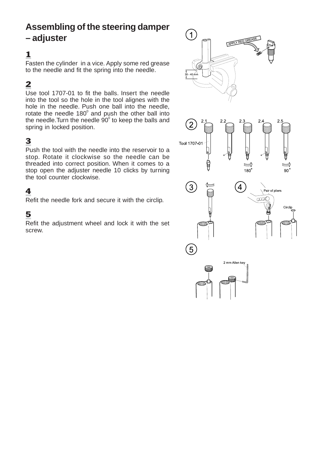## **Assembling of the steering damper – adjuster**

## 1

Fasten the cylinder in a vice. Apply some red grease to the needle and fit the spring into the needle.

## 2

Use tool 1707-01 to fit the balls. Insert the needle into the tool so the hole in the tool alignes with the hole in the needle. Push one ball into the needle, rotate the needle 180 $^{\circ}$  and push the other ball into the needle.Turn the needle  $90^{\circ}$  to keep the balls and spring in locked position.

## 3

Push the tool with the needle into the reservoir to a stop. Rotate it clockwise so the needle can be threaded into correct position. When it comes to a stop open the adjuster needle 10 clicks by turning the tool counter clockwise.

## 4

Refit the needle fork and secure it with the circlip.

## 5

Refit the adjustment wheel and lock it with the set screw.

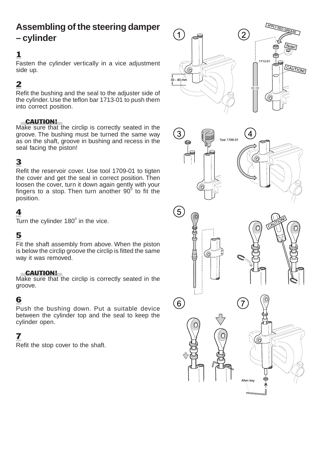## **Assembling of the steering damper – cylinder**

## 1

Fasten the cylinder vertically in a vice adjustment side up.

## 2

Refit the bushing and the seal to the adjuster side of the cylinder. Use the teflon bar 1713-01 to push them into correct position.

#### CAUTION!

Make sure that the circlip is correctly seated in the groove. The bushing must be turned the same way as on the shaft, groove in bushing and recess in the seal facing the piston!

## 3

Refit the reservoir cover. Use tool 1709-01 to tigten the cover and get the seal in correct position. Then loosen the cover, turn it down again gently with your fingers to a stop. Then turn another 90 $^{\circ}$  to fit the position.

## 4

Turn the cylinder 180 $^{\circ}$  in the vice.

## 5

Fit the shaft assembly from above. When the piston is below the circlip groove the circlip is fitted the same way it was removed.

#### CAUTION!

Make sure that the circlip is correctly seated in the groove.

## 6

Push the bushing down. Put a suitable device between the cylinder top and the seal to keep the cylinder open.

## 7

Refit the stop cover to the shaft.

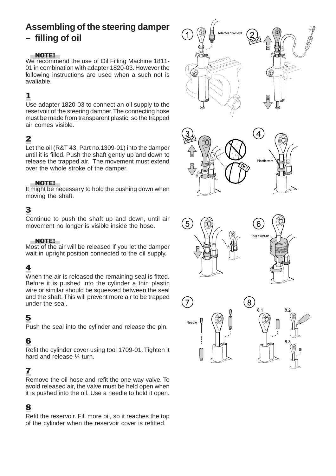## **Assembling of the steering damper – filling of oil**

#### NOTE!

We recommend the use of Oil Filling Machine 1811- 01 in combination with adapter 1820-03. However the following instructions are used when a such not is avaliable.

## 1

Use adapter 1820-03 to connect an oil supply to the reservoir of the steering damper. The connecting hose must be made from transparent plastic, so the trapped air comes visible.

## 2

Let the oil (R&T 43, Part no.1309-01) into the damper until it is filled. Push the shaft gently up and down to release the trapped air. The movement must extend over the whole stroke of the damper.

#### NOTE!

It might be necessary to hold the bushing down when moving the shaft.

## 3

Continue to push the shaft up and down, until air movement no longer is visible inside the hose.

#### NOTE!

Most of the air will be released if you let the damper wait in upright position connected to the oil supply.

## 4

When the air is released the remaining seal is fitted. Before it is pushed into the cylinder a thin plastic wire or similar should be squeezed between the seal and the shaft. This will prevent more air to be trapped under the seal.

## 5

Push the seal into the cylinder and release the pin.

## 6

Refit the cylinder cover using tool 1709-01. Tighten it hard and release ¼ turn.

## 7

Remove the oil hose and refit the one way valve. To avoid released air, the valve must be held open when it is pushed into the oil. Use a needle to hold it open.

## 8

Refit the reservoir. Fill more oil, so it reaches the top of the cylinder when the reservoir cover is refitted.